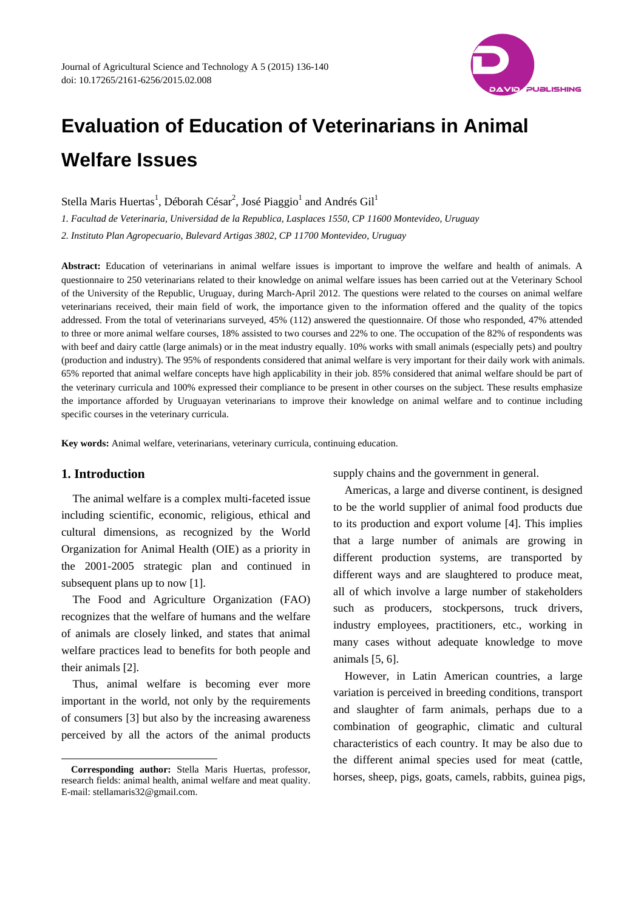

# **Evaluation of Education of Veterinarians in Animal Welfare Issues**

Stella Maris Huertas<sup>1</sup>, Déborah César<sup>2</sup>, José Piaggio<sup>1</sup> and Andrés Gil<sup>1</sup>

*1. Facultad de Veterinaria, Universidad de la Republica, Lasplaces 1550, CP 11600 Montevideo, Uruguay 2. Instituto Plan Agropecuario, Bulevard Artigas 3802, CP 11700 Montevideo, Uruguay* 

**Abstract:** Education of veterinarians in animal welfare issues is important to improve the welfare and health of animals. A questionnaire to 250 veterinarians related to their knowledge on animal welfare issues has been carried out at the Veterinary School of the University of the Republic, Uruguay, during March-April 2012. The questions were related to the courses on animal welfare veterinarians received, their main field of work, the importance given to the information offered and the quality of the topics addressed. From the total of veterinarians surveyed, 45% (112) answered the questionnaire. Of those who responded, 47% attended to three or more animal welfare courses, 18% assisted to two courses and 22% to one. The occupation of the 82% of respondents was with beef and dairy cattle (large animals) or in the meat industry equally. 10% works with small animals (especially pets) and poultry (production and industry). The 95% of respondents considered that animal welfare is very important for their daily work with animals. 65% reported that animal welfare concepts have high applicability in their job. 85% considered that animal welfare should be part of the veterinary curricula and 100% expressed their compliance to be present in other courses on the subject. These results emphasize the importance afforded by Uruguayan veterinarians to improve their knowledge on animal welfare and to continue including specific courses in the veterinary curricula.

**Key words:** Animal welfare, veterinarians, veterinary curricula, continuing education.

# **1. Introduction**

 $\overline{\phantom{a}}$ 

The animal welfare is a complex multi-faceted issue including scientific, economic, religious, ethical and cultural dimensions, as recognized by the World Organization for Animal Health (OIE) as a priority in the 2001-2005 strategic plan and continued in subsequent plans up to now [1].

The Food and Agriculture Organization (FAO) recognizes that the welfare of humans and the welfare of animals are closely linked, and states that animal welfare practices lead to benefits for both people and their animals [2].

Thus, animal welfare is becoming ever more important in the world, not only by the requirements of consumers [3] but also by the increasing awareness perceived by all the actors of the animal products supply chains and the government in general.

Americas, a large and diverse continent, is designed to be the world supplier of animal food products due to its production and export volume [4]. This implies that a large number of animals are growing in different production systems, are transported by different ways and are slaughtered to produce meat, all of which involve a large number of stakeholders such as producers, stockpersons, truck drivers, industry employees, practitioners, etc., working in many cases without adequate knowledge to move animals [5, 6].

However, in Latin American countries, a large variation is perceived in breeding conditions, transport and slaughter of farm animals, perhaps due to a combination of geographic, climatic and cultural characteristics of each country. It may be also due to the different animal species used for meat (cattle, horses, sheep, pigs, goats, camels, rabbits, guinea pigs,

**Corresponding author:** Stella Maris Huertas, professor, research fields: animal health, animal welfare and meat quality. E-mail: stellamaris32@gmail.com.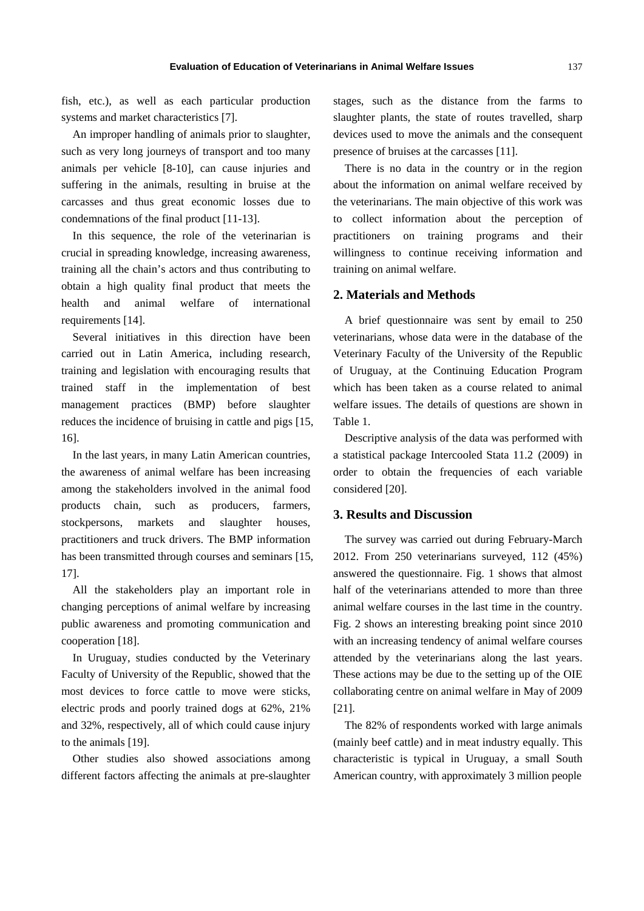fish, etc.), as well as each particular production systems and market characteristics [7].

An improper handling of animals prior to slaughter, such as very long journeys of transport and too many animals per vehicle [8-10], can cause injuries and suffering in the animals, resulting in bruise at the carcasses and thus great economic losses due to condemnations of the final product [11-13].

In this sequence, the role of the veterinarian is crucial in spreading knowledge, increasing awareness, training all the chain's actors and thus contributing to obtain a high quality final product that meets the health and animal welfare of international requirements [14].

Several initiatives in this direction have been carried out in Latin America, including research, training and legislation with encouraging results that trained staff in the implementation of best management practices (BMP) before slaughter reduces the incidence of bruising in cattle and pigs [15, 16].

In the last years, in many Latin American countries, the awareness of animal welfare has been increasing among the stakeholders involved in the animal food products chain, such as producers, farmers, stockpersons, markets and slaughter houses, practitioners and truck drivers. The BMP information has been transmitted through courses and seminars [15, 17].

All the stakeholders play an important role in changing perceptions of animal welfare by increasing public awareness and promoting communication and cooperation [18].

In Uruguay, studies conducted by the Veterinary Faculty of University of the Republic, showed that the most devices to force cattle to move were sticks, electric prods and poorly trained dogs at 62%, 21% and 32%, respectively, all of which could cause injury to the animals [19].

Other studies also showed associations among different factors affecting the animals at pre-slaughter stages, such as the distance from the farms to slaughter plants, the state of routes travelled, sharp devices used to move the animals and the consequent presence of bruises at the carcasses [11].

There is no data in the country or in the region about the information on animal welfare received by the veterinarians. The main objective of this work was to collect information about the perception of practitioners on training programs and their willingness to continue receiving information and training on animal welfare.

## **2. Materials and Methods**

A brief questionnaire was sent by email to 250 veterinarians, whose data were in the database of the Veterinary Faculty of the University of the Republic of Uruguay, at the Continuing Education Program which has been taken as a course related to animal welfare issues. The details of questions are shown in Table 1.

Descriptive analysis of the data was performed with a statistical package Intercooled Stata 11.2 (2009) in order to obtain the frequencies of each variable considered [20].

# **3. Results and Discussion**

The survey was carried out during February-March 2012. From 250 veterinarians surveyed, 112 (45%) answered the questionnaire. Fig. 1 shows that almost half of the veterinarians attended to more than three animal welfare courses in the last time in the country. Fig. 2 shows an interesting breaking point since 2010 with an increasing tendency of animal welfare courses attended by the veterinarians along the last years. These actions may be due to the setting up of the OIE collaborating centre on animal welfare in May of 2009 [21].

The 82% of respondents worked with large animals (mainly beef cattle) and in meat industry equally. This characteristic is typical in Uruguay, a small South American country, with approximately 3 million people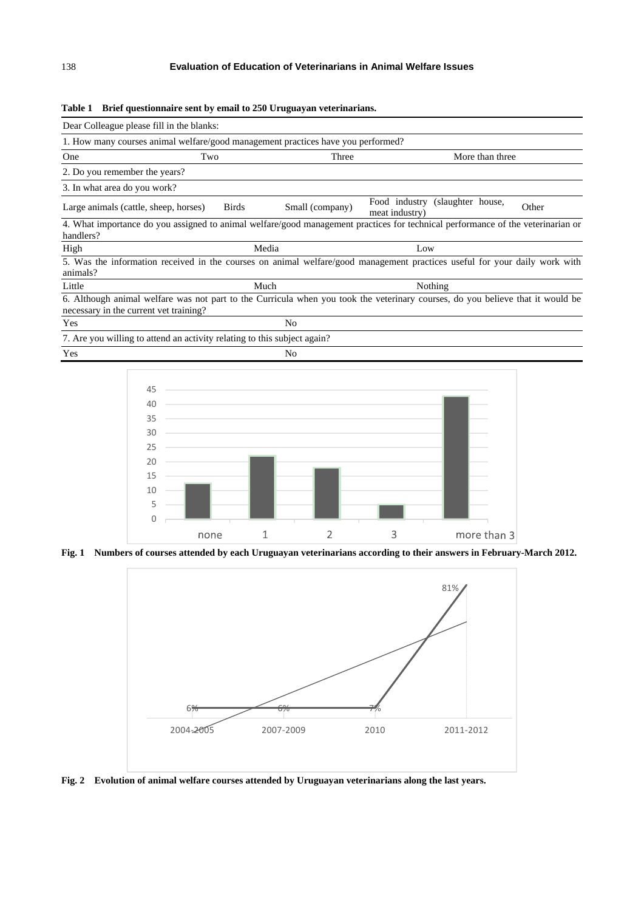|  | Table 1 Brief questionnaire sent by email to 250 Uruguayan veterinarians. |
|--|---------------------------------------------------------------------------|
|  |                                                                           |

| Dear Colleague please fill in the blanks:                                                                                                                                |              |                 |                                 |                   |  |       |
|--------------------------------------------------------------------------------------------------------------------------------------------------------------------------|--------------|-----------------|---------------------------------|-------------------|--|-------|
| 1. How many courses animal welfare/good management practices have you performed?                                                                                         |              |                 |                                 |                   |  |       |
| Two<br>One                                                                                                                                                               |              | Three           |                                 | More than three   |  |       |
| 2. Do you remember the years?                                                                                                                                            |              |                 |                                 |                   |  |       |
| 3. In what area do you work?                                                                                                                                             |              |                 |                                 |                   |  |       |
| Large animals (cattle, sheep, horses)                                                                                                                                    | <b>Birds</b> | Small (company) | Food industry<br>meat industry) | (slaughter house, |  | Other |
| 4. What importance do you assigned to animal welfare/good management practices for technical performance of the veterinarian or<br>handlers?                             |              |                 |                                 |                   |  |       |
| High                                                                                                                                                                     | Media        |                 | Low                             |                   |  |       |
| 5. Was the information received in the courses on animal welfare/good management practices useful for your daily work with<br>animals?                                   |              |                 |                                 |                   |  |       |
| Little                                                                                                                                                                   | Much         |                 | Nothing                         |                   |  |       |
| 6. Although animal welfare was not part to the Curricula when you took the veterinary courses, do you believe that it would be<br>necessary in the current vet training? |              |                 |                                 |                   |  |       |
| Yes                                                                                                                                                                      |              | N <sub>0</sub>  |                                 |                   |  |       |
| 7. Are you willing to attend an activity relating to this subject again?                                                                                                 |              |                 |                                 |                   |  |       |
| Yes                                                                                                                                                                      |              | No              |                                 |                   |  |       |



**Fig. 1 Numbers of courses attended by each Uruguayan veterinarians according to their answers in February-March 2012.** 



**Fig. 2 Evolution of animal welfare courses attended by Uruguayan veterinarians along the last years.**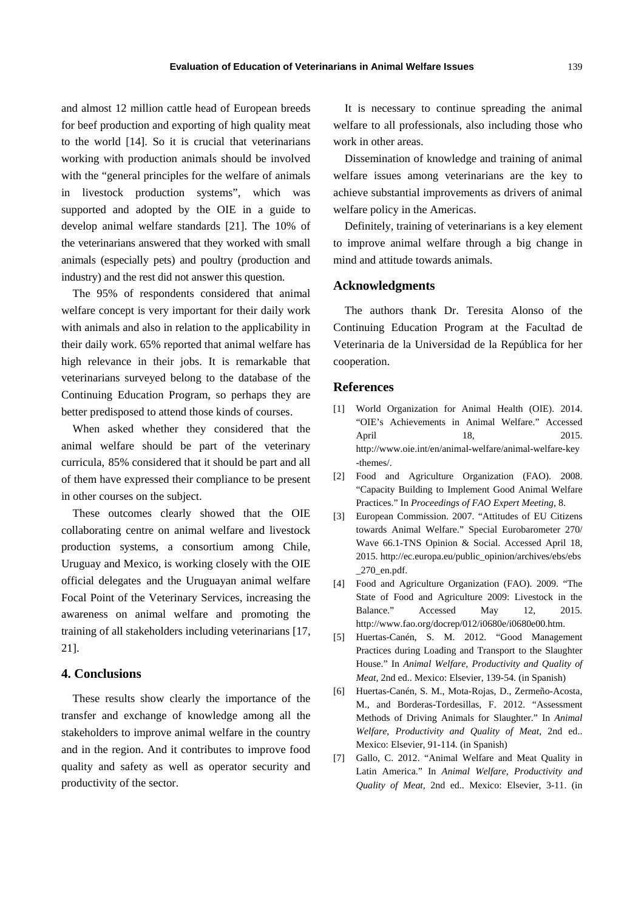and almost 12 million cattle head of European breeds for beef production and exporting of high quality meat to the world [14]. So it is crucial that veterinarians working with production animals should be involved with the "general principles for the welfare of animals in livestock production systems", which was supported and adopted by the OIE in a guide to develop animal welfare standards [21]. The 10% of the veterinarians answered that they worked with small animals (especially pets) and poultry (production and industry) and the rest did not answer this question.

The 95% of respondents considered that animal welfare concept is very important for their daily work with animals and also in relation to the applicability in their daily work. 65% reported that animal welfare has high relevance in their jobs. It is remarkable that veterinarians surveyed belong to the database of the Continuing Education Program, so perhaps they are better predisposed to attend those kinds of courses.

When asked whether they considered that the animal welfare should be part of the veterinary curricula, 85% considered that it should be part and all of them have expressed their compliance to be present in other courses on the subject.

These outcomes clearly showed that the OIE collaborating centre on animal welfare and livestock production systems, a consortium among Chile, Uruguay and Mexico, is working closely with the OIE official delegates and the Uruguayan animal welfare Focal Point of the Veterinary Services, increasing the awareness on animal welfare and promoting the training of all stakeholders including veterinarians [17, 21].

### **4. Conclusions**

These results show clearly the importance of the transfer and exchange of knowledge among all the stakeholders to improve animal welfare in the country and in the region. And it contributes to improve food quality and safety as well as operator security and productivity of the sector.

It is necessary to continue spreading the animal welfare to all professionals, also including those who work in other areas.

Dissemination of knowledge and training of animal welfare issues among veterinarians are the key to achieve substantial improvements as drivers of animal welfare policy in the Americas.

Definitely, training of veterinarians is a key element to improve animal welfare through a big change in mind and attitude towards animals.

#### **Acknowledgments**

The authors thank Dr. Teresita Alonso of the Continuing Education Program at the Facultad de Veterinaria de la Universidad de la República for her cooperation.

# **References**

- [1] World Organization for Animal Health (OIE). 2014. "OIE's Achievements in Animal Welfare." Accessed April 18, 2015. http://www.oie.int/en/animal-welfare/animal-welfare-key -themes/.
- [2] Food and Agriculture Organization (FAO). 2008. "Capacity Building to Implement Good Animal Welfare Practices." In *Proceedings of FAO Expert Meeting,* 8.
- [3] European Commission. 2007. "Attitudes of EU Citizens towards Animal Welfare." Special Eurobarometer 270/ Wave 66.1-TNS Opinion & Social. Accessed April 18, 2015. http://ec.europa.eu/public\_opinion/archives/ebs/ebs \_270\_en.pdf.
- [4] Food and Agriculture Organization (FAO). 2009. "The State of Food and Agriculture 2009: Livestock in the Balance." Accessed May 12, 2015. http://www.fao.org/docrep/012/i0680e/i0680e00.htm.
- [5] Huertas-Canén, S. M. 2012. "Good Management Practices during Loading and Transport to the Slaughter House." In *Animal Welfare, Productivity and Quality of Meat,* 2nd ed.. Mexico: Elsevier, 139-54. (in Spanish)
- [6] Huertas-Canén, S. M., Mota-Rojas, D., Zermeño-Acosta, M., and Borderas-Tordesillas, F. 2012. "Assessment Methods of Driving Animals for Slaughter." In *Animal Welfare, Productivity and Quality of Meat,* 2nd ed.. Mexico: Elsevier, 91-114. (in Spanish)
- [7] Gallo, C. 2012. "Animal Welfare and Meat Quality in Latin America." In *Animal Welfare, Productivity and Quality of Meat,* 2nd ed.. Mexico: Elsevier, 3-11. (in